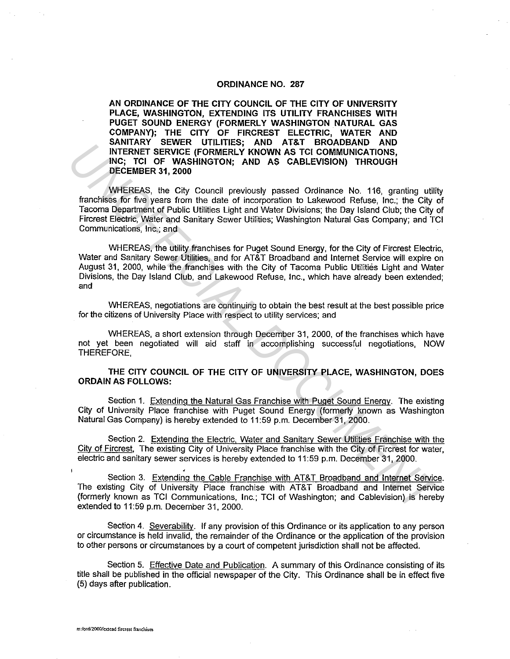## **ORDINANCE NO. 287**

**AN ORDINANCE OF THE CITY COUNCIL OF THE CITY OF UNIVERSITY PLACE, WASHINGTON, EXTENDING ITS UTILITY FRANCHISES WITH PUGET SOUND ENERGY (FORMERLY WASHINGTON NATURAL GAS COMPANY); THE CITY OF FIRCREST ELECTRIC, WATER AND SANITARY SEWER UTILITIES; AND AT&T BROADBAND AND INTERNET SERVICE (FORMERLY KNOWN AS TCI COMMUNICATIONS, INC; TCI OF WASHINGTON; AND AS CABLEVISION) THROUGH DECEMBER 31, 2000** 

WHEREAS, the City Council previously passed Ordinance No. 116, granting utility franchises for five years from the date of incorporation to Lakewood Refuse, Inc.; the City of Tacoma Department of Public Utilities Light and Water Divisions; the Day Island Club; the City of Fircrest Electric, Water and Sanitary Sewer Utilities; Washington Natural Gas Company; and TCI Communications, Inc.; and **INTERNET SERVICE (FORMERLY KNOWN AS TCI COMMUNICATIONS,<br>
INTERNET SERVICE (FORMERLY KNOWN AS TCI COMMUNICATIONS)<br>
INTERNET SERVICE (FORMERLY KNOWN AS TCI COMMUNICATIONS)<br>
DECEMBER 31, 2000<br>
DECEMBER 31, 2000<br>
Tanchines [5** 

WHEREAS, the utility franchises for Puget Sound Energy, for the City of Fircrest Electric. Water and Sanitary Sewer Utilities, and for AT&T Broadband and Internet Service will expire on August 31, 2000, while the franchises with the City of Tacoma Public Utilities Light and Water Divisions, the Day Island Club, and Lakewood Refuse, Inc., which have already been extended; and

WHEREAS, negotiations are continuing to obtain the best result at the best possible price for the citizens of University Place with respect to utility services; and

WHEREAS, a short extension through December 31, 2000, of the franchises which have not yet been negotiated will aid staff in accomplishing successful negotiations, NOW THEREFORE,

**THE CITY COUNCIL OF THE CITY OF UNIVERSITY PLACE, WASHINGTON, DOES ORDAIN AS FOLLOWS:** 

Section 1. Extending the Natural Gas Franchise with Puget Sound Energy. The existing City of University Place franchise with Puget Sound Energy (formerly known as Washington Natural Gas Company) is hereby extended to 11:59 p.m. December 31, 2000.

Section 2. Extending the Electric, Water and Sanitarv Sewer Utilities Franchise with the City of Fircrest, The existing City of University Place franchise with the City of Fircrest for water, electric and sanitary sewer services is hereby extended to 11 :59 p.m. December 31, 2000.

Section 3. Extending the Cable Franchise with AT&T Broadband and Internet Service. The existing City of University Place franchise with AT&T Broadband and Internet Service (formerly known as TCI Communications, Inc.; TCI of Washington; and Cablevision) is hereby extended to 11 :59 p.m. December 31, 2000.

Section 4. Severability. If any provision of this Ordinance or its application to any person or circumstance is held invalid, the remainder of the Ordinance or the application of the provision to other persons or circumstances by a court of competent jurisdiction shall not be affected.

Section 5. Effective Date and Publication. A summary of this Ordinance consisting of its title shall be published in the official newspaper of the City. This Ordinance shall be in effect five (5) days after publication.